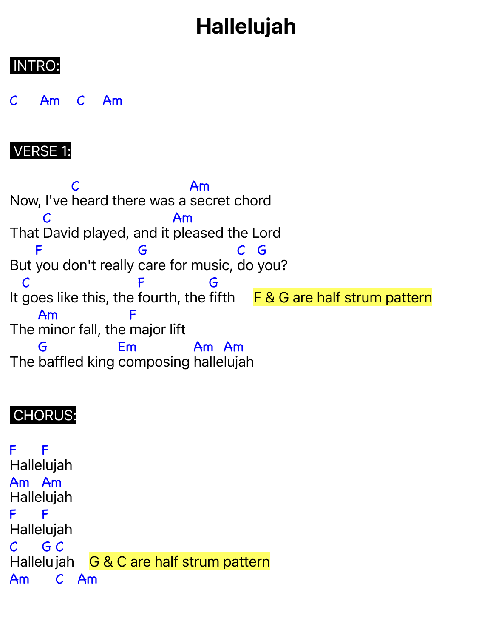# Hallelujah

## INTRO:

C Am C Am

### VERSE 1:

Now, I've heard there was a secret chord C Am That David played, and it pleased the Lord C Am But you don't really care for music, do you? F G C G It goes like this, the fourth, the fifth F & G are half strum pattern C F G The minor fall, the major lift Am F The baffled king composing halle lujah G Em Am Am

## CHORUS:

F F Halle lujah Am Am Halle lujah F Halle lujah F  $\mathcal C$ Hallelujah G & C are half strum pattern G C Am C Am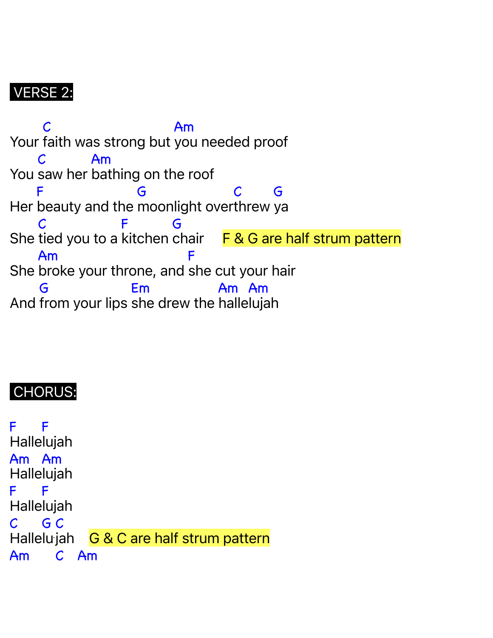## VERSE 2:

Your faith was strong but you needed proof C Am You saw her bathing on the roof  $\mathcal C$ Am Her beauty and the moonlight over threw ya F G C G She tied you to a kitchen chair F & G are half strum pattern C F G She broke your throne, and she cut your hair Am F And from your lips she drew the halle lujah G Em Am Am

## CHORUS:

F Halle lujah F Am Am Halle lujah F Halle lujah F  $\mathcal{C}^-$ Hallelujah G & C are half strum pattern G C Am C Am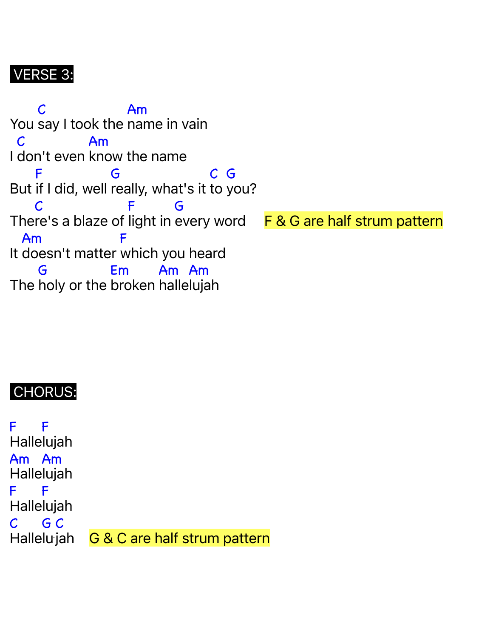## VERSE 3:

You say I took the name in vain C Am I don't even know the name C Am But if I did, well really, what's it to you? F G C G The re's a blaze of light in C F G F & G are half strum pattern It doesn't matter which you heard Am F The holy or the broken halle lujah G Em Am Am

#### CHORUS:

F Halle lujah F Am Am Halle lujah F Halle lujah F  $\mathcal{C}$ **Hallelu** G C G & C are half strum pattern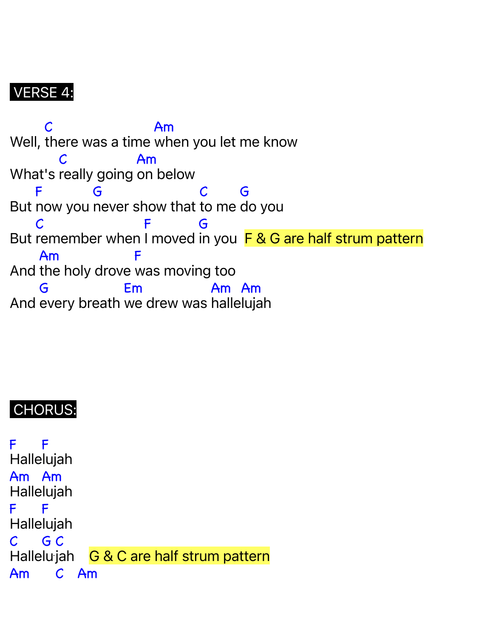### VERSE 4:

Well, there was a time when you let me know C Am What's really going on below C Am But now you never show that to me do you F G C G But remember when I moved in you F & G are half strum pattern C F G And the holy drove was moving too Am F And every breath we drew was halle lujah G Em Am Am

#### CHORUS:

F Halle lujah F Am Am Halle lujah F Halle lujah F  $\mathcal{C}$ Hallelujah G & C are half strum pattern G C Am C Am